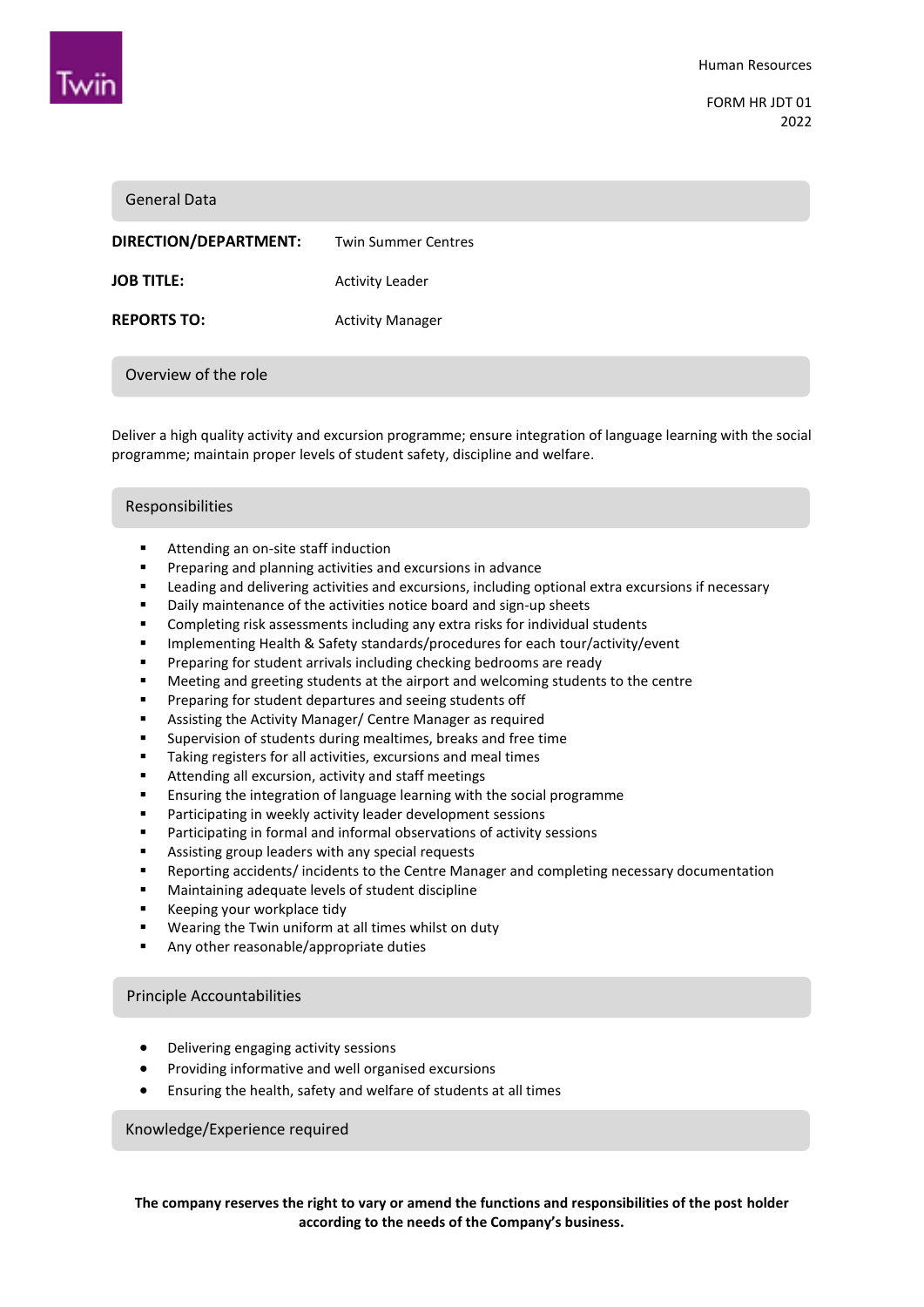

FORM HR JDT 01 2022

| <b>General Data</b>   |                            |
|-----------------------|----------------------------|
| DIRECTION/DEPARTMENT: | <b>Twin Summer Centres</b> |
| <b>JOB TITLE:</b>     | <b>Activity Leader</b>     |
| <b>REPORTS TO:</b>    | <b>Activity Manager</b>    |
| Overview of the role  |                            |

Deliver a high quality activity and excursion programme; ensure integration of language learning with the social programme; maintain proper levels of student safety, discipline and welfare.

# Promoting the activity programme enthusiastically Responsibilities

- Attending an on-site staff induction
- **Preparing and planning activities and excursions in advance**
- **EXECT** Leading and delivering activities and excursions, including optional extra excursions if necessary
- Daily maintenance of the activities notice board and sign-up sheets
- Completing risk assessments including any extra risks for individual students
- **IMPLEMENTER IMPLEMENT ASSET IMPLEM** Safety standards/procedures for each tour/activity/event
- Preparing for student arrivals including checking bedrooms are ready
- Meeting and greeting students at the airport and welcoming students to the centre
- **Preparing for student departures and seeing students off**
- **EXEL Assisting the Activity Manager/ Centre Manager as required**
- Supervision of students during mealtimes, breaks and free time
- Taking registers for all activities, excursions and meal times
- Attending all excursion, activity and staff meetings
- **Ensuring the integration of language learning with the social programme**
- **Participating in weekly activity leader development sessions**
- **Participating in formal and informal observations of activity sessions**
- **EXECT:** Assisting group leaders with any special requests
- Reporting accidents/ incidents to the Centre Manager and completing necessary documentation
- Maintaining adequate levels of student discipline
- **Keeping your workplace tidv**
- **Wearing the Twin uniform at all times whilst on duty**
- **Any other reasonable/appropriate duties**

#### Principle Accountabilities

- Delivering engaging activity sessions
- Providing informative and well organised excursions
- Ensuring the health, safety and welfare of students at all times

Knowledge/Experience required

**The company reserves the right to vary or amend the functions and responsibilities of the post holder according to the needs of the Company's business.**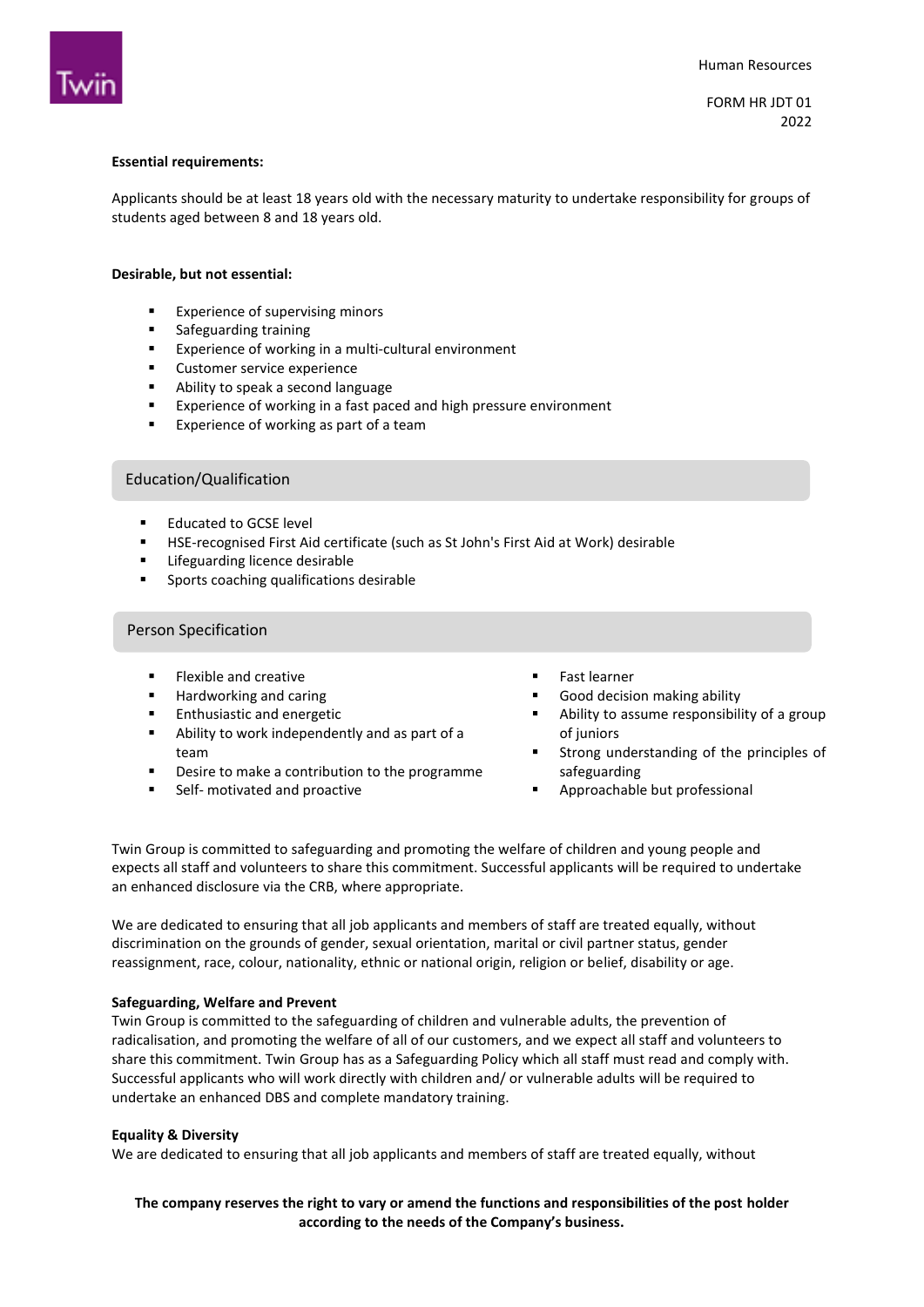

FORM HR JDT 01 2022

## **Essential requirements:**

Applicants should be at least 18 years old with the necessary maturity to undertake responsibility for groups of students aged between 8 and 18 years old.

#### **Desirable, but not essential:**

- **Experience of supervising minors**
- **s** Safeguarding training
- **EXPERIENCE OF WORKING IN A MULTI-CULTURE ENVIRONMENT**
- **Customer service experience**<br>Ability to sneak a second langu
- Ability to speak a second language
- Experience of working in a fast paced and high pressure environment
- **Experience of working as part of a team**

## Education/Qualification

- Educated to GCSE level
- HSE-recognised First Aid certificate (such as St John's First Aid at Work) desirable
- **EXECUTE:** Lifeguarding licence desirable
- Sports coaching qualifications desirable

## Person Specification

- **Flexible and creative**
- Hardworking and caring
- Enthusiastic and energetic
- Ability to work independently and as part of a team
- Desire to make a contribution to the programme
- Self- motivated and proactive
- **Fast learner**
- Good decision making ability
- Ability to assume responsibility of a group of juniors
- Strong understanding of the principles of safeguarding
- Approachable but professional

Twin Group is committed to safeguarding and promoting the welfare of children and young people and expects all staff and volunteers to share this commitment. Successful applicants will be required to undertake an enhanced disclosure via the CRB, where appropriate.

We are dedicated to ensuring that all job applicants and members of staff are treated equally, without discrimination on the grounds of gender, sexual orientation, marital or civil partner status, gender reassignment, race, colour, nationality, ethnic or national origin, religion or belief, disability or age.

#### **Safeguarding, Welfare and Prevent**

Twin Group is committed to the safeguarding of children and vulnerable adults, the prevention of radicalisation, and promoting the welfare of all of our customers, and we expect all staff and volunteers to share this commitment. Twin Group has as a Safeguarding Policy which all staff must read and comply with. Successful applicants who will work directly with children and/ or vulnerable adults will be required to undertake an enhanced DBS and complete mandatory training.

#### **Equality & Diversity**

We are dedicated to ensuring that all job applicants and members of staff are treated equally, without

# **The company reserves the right to vary or amend the functions and responsibilities of the post holder according to the needs of the Company's business.**